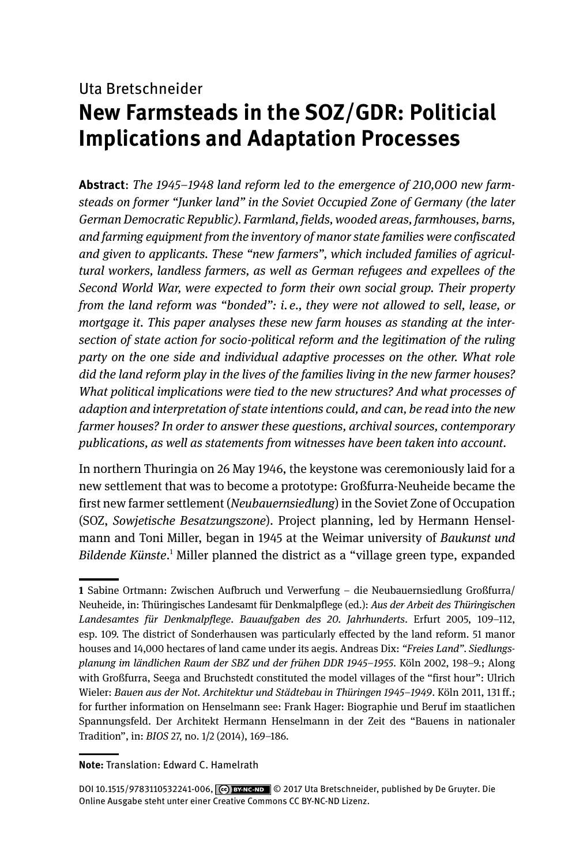# Uta Bretschneider **New Farmsteads in the SOZ/GDR: Politicial Implications and Adaptation Processes**

**Abstract**: *The 1945–1948 land reform led to the emergence of 210,000 new farmsteads on former "Junker land" in the Soviet Occupied Zone of Germany (the later German Democratic Republic). Farmland, fields, wooded areas, farmhouses, barns, and farming equipment from the inventory of manor state families were confiscated and given to applicants. These "new farmers", which included families of agricultural workers, landless farmers, as well as German refugees and expellees of the Second World War, were expected to form their own social group. Their property from the land reform was "bonded": i. e., they were not allowed to sell, lease, or mortgage it. This paper analyses these new farm houses as standing at the intersection of state action for socio-political reform and the legitimation of the ruling party on the one side and individual adaptive processes on the other. What role did the land reform play in the lives of the families living in the new farmer houses? What political implications were tied to the new structures? And what processes of adaption and interpretation of state intentions could, and can, be read into the new farmer houses? In order to answer these questions, archival sources, contemporary publications, as well as statements from witnesses have been taken into account.*

In northern Thuringia on 26 May 1946, the keystone was ceremoniously laid for a new settlement that was to become a prototype: Großfurra-Neuheide became the first new farmer settlement (*Neubauernsiedlung*) in the Soviet Zone of Occupation (SOZ, *Sowjetische Besatzungszone*). Project planning, led by Hermann Henselmann and Toni Miller, began in 1945 at the Weimar university of *Baukunst und*  Bildende Künste.<sup>1</sup> Miller planned the district as a "village green type, expanded

#### **Note:** Translation: Edward C. Hamelrath

**<sup>1</sup>** Sabine Ortmann: Zwischen Aufbruch und Verwerfung – die Neubauernsiedlung Großfurra/ Neuheide, in: Thüringisches Landesamt für Denkmalpflege (ed.): *Aus der Arbeit des Thüringischen Landesamtes für Denkmalpflege. Bauaufgaben des 20. Jahrhunderts*. Erfurt 2005, 109–112, esp. 109. The district of Sonderhausen was particularly effected by the land reform. 51 manor houses and 14,000 hectares of land came under its aegis. Andreas Dix: *"Freies Land". Siedlungsplanung im ländlichen Raum der SBZ und der frühen DDR 1945–1955*. Köln 2002, 198–9.; Along with Großfurra, Seega and Bruchstedt constituted the model villages of the "first hour": Ulrich Wieler: *Bauen aus der Not. Architektur und Städtebau in Thüringen 1945–1949*. Köln 2011, 131 ff.; for further information on Henselmann see: Frank Hager: Biographie und Beruf im staatlichen Spannungsfeld. Der Architekt Hermann Henselmann in der Zeit des "Bauens in nationaler Tradition", in: *BIOS* 27, no. 1/2 (2014), 169–186.

DOI 10.1515/9783110532241-006,  $\left[\right.$  EXALGAD C 2017 Uta Bretschneider, published by De Gruyter. Die Online Ausgabe steht unter einer Creative Commons CC BY-NC-ND Lizenz.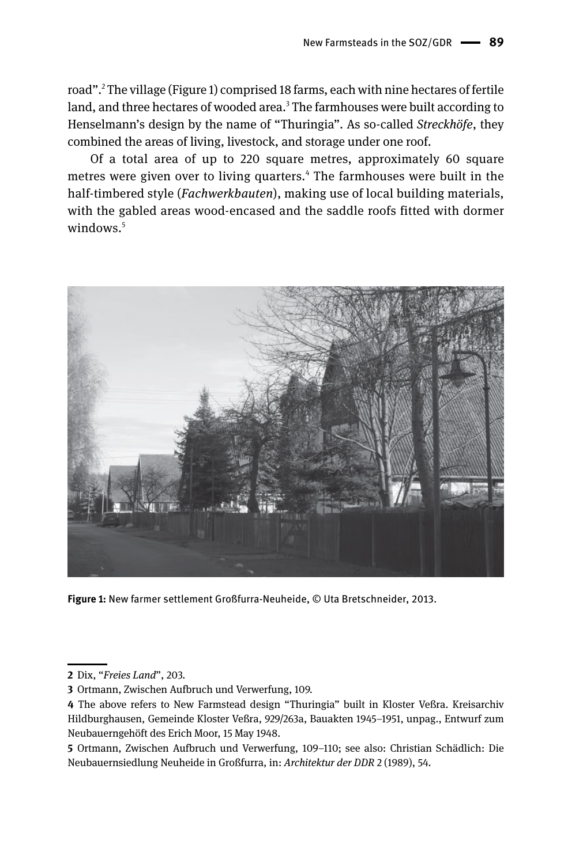road".<sup>2</sup> The village (Figure 1) comprised 18 farms, each with nine hectares of fertile land, and three hectares of wooded area. $^3$  The farmhouses were built according to Henselmann's design by the name of "Thuringia". As so-called *Streckhöfe*, they combined the areas of living, livestock, and storage under one roof.

Of a total area of up to 220 square metres, approximately 60 square metres were given over to living quarters.<sup>4</sup> The farmhouses were built in the half-timbered style (*Fachwerkbauten*), making use of local building materials, with the gabled areas wood-encased and the saddle roofs fitted with dormer windows. $5$ 



**Figure 1:** New farmer settlement Großfurra-Neuheide, © Uta Bretschneider, 2013.

**5** Ortmann, Zwischen Aufbruch und Verwerfung, 109–110; see also: Christian Schädlich: Die Neubauernsiedlung Neuheide in Großfurra, in: *Architektur der DDR* 2 (1989), 54.

**<sup>2</sup>** Dix, "*Freies Land*", 203.

**<sup>3</sup>** Ortmann, Zwischen Aufbruch und Verwerfung, 109.

**<sup>4</sup>** The above refers to New Farmstead design "Thuringia" built in Kloster Veßra. Kreisarchiv Hildburghausen, Gemeinde Kloster Veßra, 929/263a, Bauakten 1945–1951, unpag., Entwurf zum Neubauerngehöft des Erich Moor, 15 May 1948.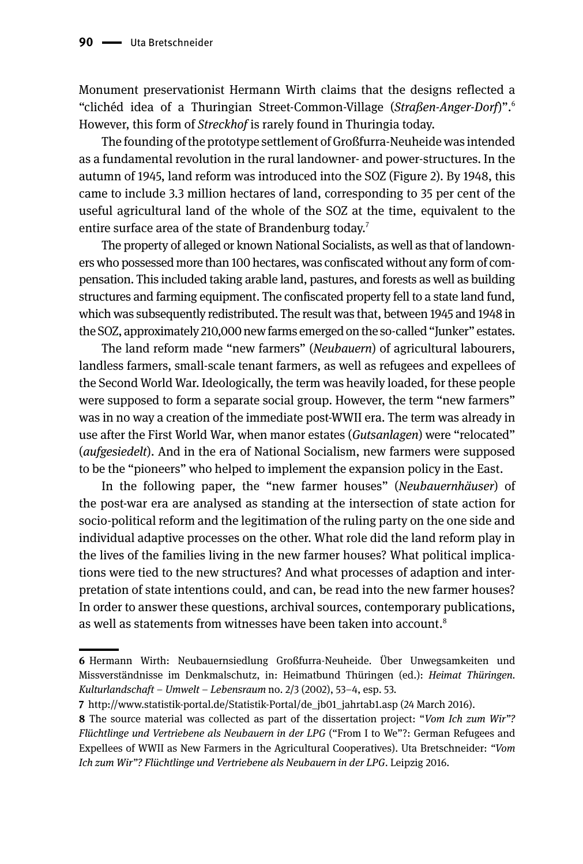Monument preservationist Hermann Wirth claims that the designs reflected a "clichéd idea of a Thuringian Street-Common-Village (*Straßen-Anger-Dorf*)".6 However, this form of *Streckhof* is rarely found in Thuringia today.

The founding of the prototype settlement of Großfurra-Neuheide was intended as a fundamental revolution in the rural landowner- and power-structures. In the autumn of 1945, land reform was introduced into the SOZ (Figure 2). By 1948, this came to include 3.3 million hectares of land, corresponding to 35 per cent of the useful agricultural land of the whole of the SOZ at the time, equivalent to the entire surface area of the state of Brandenburg today.<sup>7</sup>

The property of alleged or known National Socialists, as well as that of landowners who possessed more than 100 hectares, was confiscated without any form of compensation. This included taking arable land, pastures, and forests as well as building structures and farming equipment. The confiscated property fell to a state land fund, which was subsequently redistributed. The result was that, between 1945 and 1948 in the SOZ, approximately 210,000 new farms emerged on the so-called "Junker" estates.

The land reform made "new farmers" (*Neubauern*) of agricultural labourers, landless farmers, small-scale tenant farmers, as well as refugees and expellees of the Second World War. Ideologically, the term was heavily loaded, for these people were supposed to form a separate social group. However, the term "new farmers" was in no way a creation of the immediate post-WWII era. The term was already in use after the First World War, when manor estates (*Gutsanlagen*) were "relocated" (*aufgesiedelt*). And in the era of National Socialism, new farmers were supposed to be the "pioneers" who helped to implement the expansion policy in the East.

In the following paper, the "new farmer houses" (*Neubauernhäuser*) of the post-war era are analysed as standing at the intersection of state action for socio-political reform and the legitimation of the ruling party on the one side and individual adaptive processes on the other. What role did the land reform play in the lives of the families living in the new farmer houses? What political implications were tied to the new structures? And what processes of adaption and interpretation of state intentions could, and can, be read into the new farmer houses? In order to answer these questions, archival sources, contemporary publications, as well as statements from witnesses have been taken into account.<sup>8</sup>

**<sup>6</sup>** Hermann Wirth: Neubauernsiedlung Großfurra-Neuheide. Über Unwegsamkeiten und Missverständnisse im Denkmalschutz, in: Heimatbund Thüringen (ed.): *Heimat Thüringen. Kulturlandschaft – Umwelt – Lebensraum* no. 2/3 (2002), 53–4, esp. 53.

**<sup>7</sup>** http://www.statistik-portal.de/Statistik-Portal/de\_jb01\_jahrtab1.asp (24 March 2016).

**<sup>8</sup>** The source material was collected as part of the dissertation project: "*Vom Ich zum Wir"? Flüchtlinge und Vertriebene als Neubauern in der LPG* ("From I to We"?: German Refugees and Expellees of WWII as New Farmers in the Agricultural Cooperatives). Uta Bretschneider: *"Vom Ich zum Wir"? Flüchtlinge und Vertriebene als Neubauern in der LPG*. Leipzig 2016.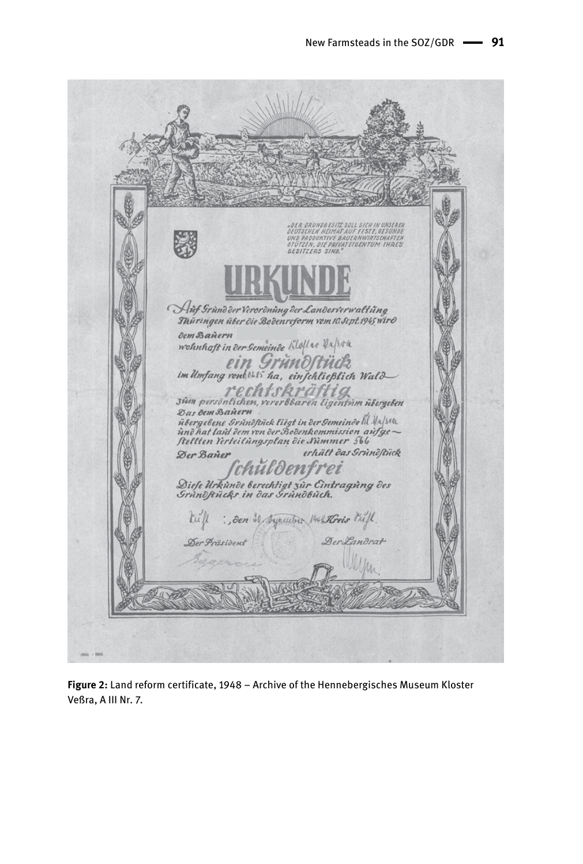

**Figure 2:** Land reform certificate, 1948 – Archive of the Hennebergisches Museum Kloster Veßra, A III Nr. 7.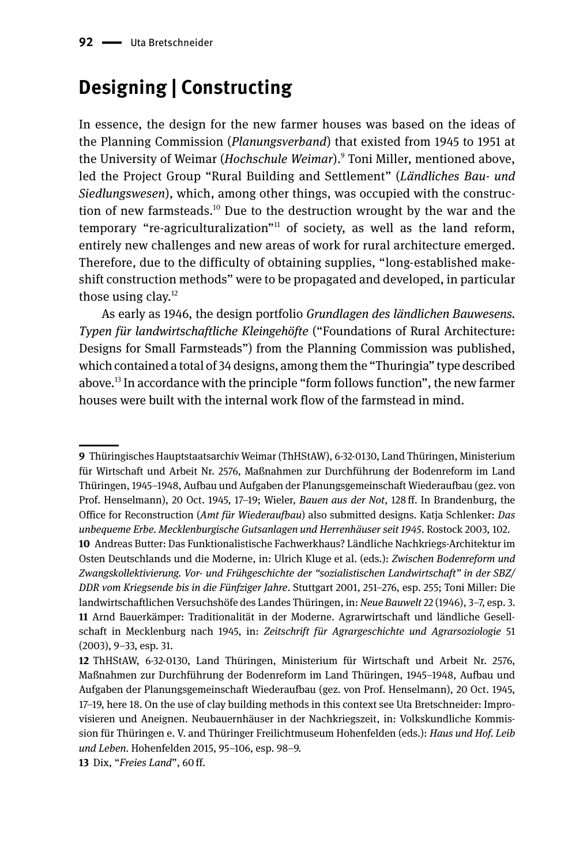# **Designing | Constructing**

In essence, the design for the new farmer houses was based on the ideas of the Planning Commission (*Planungsverband*) that existed from 1945 to 1951 at the University of Weimar (*Hochschule Weimar*).<sup>9</sup> Toni Miller, mentioned above, led the Project Group "Rural Building and Settlement" (*Ländliches Bau- und Siedlungswesen*), which, among other things, was occupied with the construction of new farmsteads.<sup>10</sup> Due to the destruction wrought by the war and the temporary "re-agriculturalization"<sup>11</sup> of society, as well as the land reform, entirely new challenges and new areas of work for rural architecture emerged. Therefore, due to the difficulty of obtaining supplies, "long-established makeshift construction methods" were to be propagated and developed, in particular those using clay.<sup>12</sup>

As early as 1946, the design portfolio *Grundlagen des ländlichen Bauwesens. Typen für landwirtschaftliche Kleingehöfte* ("Foundations of Rural Architecture: Designs for Small Farmsteads") from the Planning Commission was published, which contained a total of 34 designs, among them the "Thuringia" type described above.<sup>13</sup> In accordance with the principle "form follows function", the new farmer houses were built with the internal work flow of the farmstead in mind.

**<sup>9</sup>** Thüringisches Hauptstaatsarchiv Weimar (ThHStAW), 6-32-0130, Land Thüringen, Ministerium für Wirtschaft und Arbeit Nr. 2576, Maßnahmen zur Durchführung der Bodenreform im Land Thüringen, 1945–1948, Aufbau und Aufgaben der Planungsgemeinschaft Wiederaufbau (gez. von Prof. Henselmann), 20 Oct. 1945, 17–19; Wieler, *Bauen aus der Not*, 128 ff. In Brandenburg, the Office for Reconstruction (*Amt für Wiederaufbau*) also submitted designs. Katja Schlenker: *Das unbequeme Erbe. Mecklenburgische Gutsanlagen und Herrenhäuser seit 1945*. Rostock 2003, 102.

**<sup>10</sup>** Andreas Butter: Das Funktionalistische Fachwerkhaus? Ländliche Nachkriegs-Architektur im Osten Deutschlands und die Moderne, in: Ulrich Kluge et al. (eds.): *Zwischen Bodenreform und Zwangskollektivierung. Vor- und Frühgeschichte der "sozialistischen Landwirtschaft" in der SBZ/ DDR vom Kriegsende bis in die Fünfziger Jahre*. Stuttgart 2001, 251–276, esp. 255; Toni Miller: Die landwirtschaftlichen Versuchshöfe des Landes Thüringen, in: *Neue Bauwelt* 22 (1946), 3–7, esp. 3. **11** Arnd Bauerkämper: Traditionalität in der Moderne. Agrarwirtschaft und ländliche Gesellschaft in Mecklenburg nach 1945, in: *Zeitschrift für Agrargeschichte und Agrarsoziologie* 51 (2003), 9–33, esp. 31.

**<sup>12</sup>** ThHStAW, 6-32-0130, Land Thüringen, Ministerium für Wirtschaft und Arbeit Nr. 2576, Maßnahmen zur Durchführung der Bodenreform im Land Thüringen, 1945–1948, Aufbau und Aufgaben der Planungsgemeinschaft Wiederaufbau (gez. von Prof. Henselmann), 20 Oct. 1945, 17–19, here 18. On the use of clay building methods in this context see Uta Bretschneider: Improvisieren und Aneignen. Neubauernhäuser in der Nachkriegszeit, in: Volkskundliche Kommission für Thüringen e. V. and Thüringer Freilichtmuseum Hohenfelden (eds.): *Haus und Hof. Leib und Leben*. Hohenfelden 2015, 95–106, esp. 98–9.

**<sup>13</sup>** Dix, "*Freies Land*", 60 ff.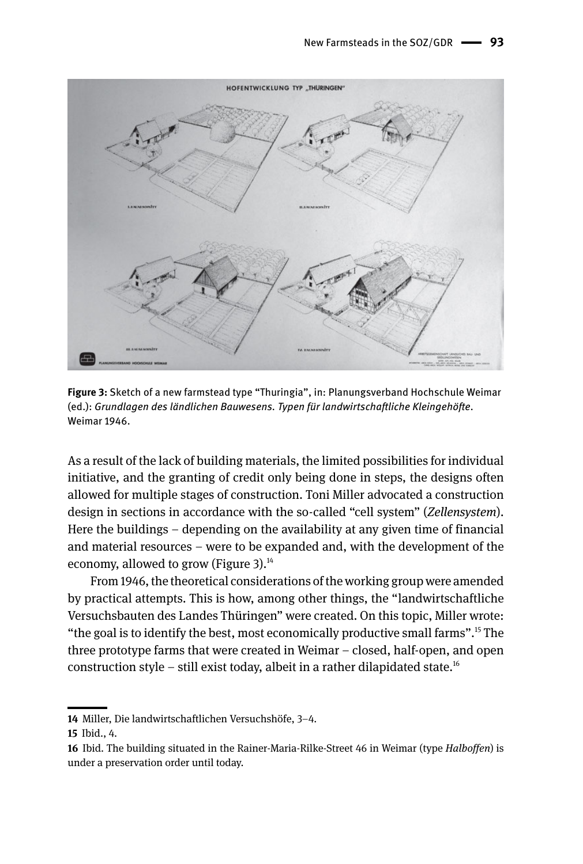

**Figure 3:** Sketch of a new farmstead type "Thuringia", in: Planungsverband Hochschule Weimar (ed.): *Grundlagen des ländlichen Bauwesens. Typen für landwirtschaftliche Kleingehöfte*. Weimar 1946.

As a result of the lack of building materials, the limited possibilities for individual initiative, and the granting of credit only being done in steps, the designs often allowed for multiple stages of construction. Toni Miller advocated a construction design in sections in accordance with the so-called "cell system" (*Zellensystem*). Here the buildings – depending on the availability at any given time of financial and material resources – were to be expanded and, with the development of the economy, allowed to grow (Figure 3). $^{14}$ 

From 1946, the theoretical considerations of the working group were amended by practical attempts. This is how, among other things, the "landwirtschaftliche Versuchsbauten des Landes Thüringen" were created. On this topic, Miller wrote: "the goal is to identify the best, most economically productive small farms".15 The three prototype farms that were created in Weimar – closed, half-open, and open construction style – still exist today, albeit in a rather dilapidated state.<sup>16</sup>

**<sup>14</sup>** Miller, Die landwirtschaftlichen Versuchshöfe, 3–4.

**<sup>15</sup>** Ibid., 4.

**<sup>16</sup>** Ibid. The building situated in the Rainer-Maria-Rilke-Street 46 in Weimar (type *Halboffen*) is under a preservation order until today.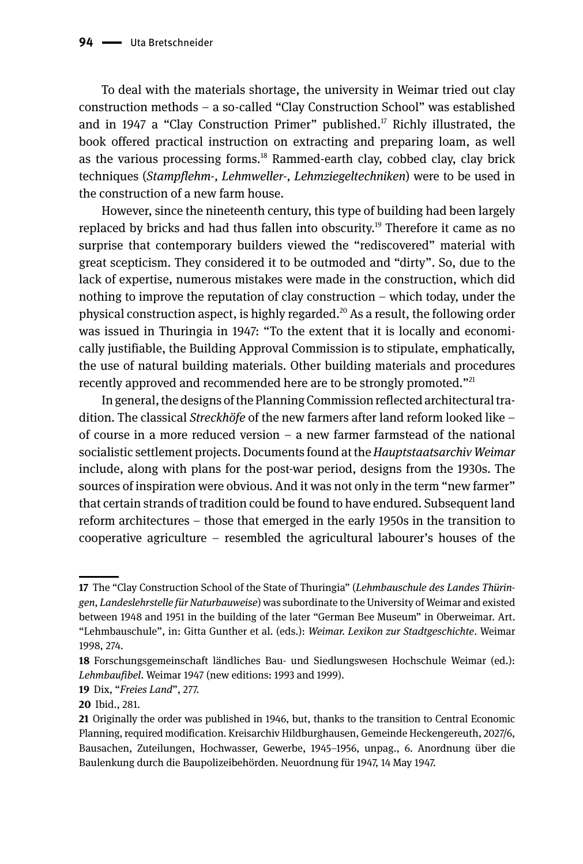To deal with the materials shortage, the university in Weimar tried out clay construction methods – a so-called "Clay Construction School" was established and in 1947 a "Clay Construction Primer" published.<sup>17</sup> Richly illustrated, the book offered practical instruction on extracting and preparing loam, as well as the various processing forms. $18$  Rammed-earth clay, cobbed clay, clay brick techniques (*Stampflehm-, Lehmweller-, Lehmziegeltechniken*) were to be used in the construction of a new farm house.

However, since the nineteenth century, this type of building had been largely replaced by bricks and had thus fallen into obscurity.19 Therefore it came as no surprise that contemporary builders viewed the "rediscovered" material with great scepticism. They considered it to be outmoded and "dirty". So, due to the lack of expertise, numerous mistakes were made in the construction, which did nothing to improve the reputation of clay construction – which today, under the physical construction aspect, is highly regarded.<sup>20</sup> As a result, the following order was issued in Thuringia in 1947: "To the extent that it is locally and economically justifiable, the Building Approval Commission is to stipulate, emphatically, the use of natural building materials. Other building materials and procedures recently approved and recommended here are to be strongly promoted."<sup>21</sup>

In general, the designs of the Planning Commission reflected architectural tradition. The classical *Streckhöfe* of the new farmers after land reform looked like – of course in a more reduced version – a new farmer farmstead of the national socialistic settlement projects. Documents found at the *Hauptstaatsarchiv Weimar* include, along with plans for the post-war period, designs from the 1930s. The sources of inspiration were obvious. And it was not only in the term "new farmer" that certain strands of tradition could be found to have endured. Subsequent land reform architectures – those that emerged in the early 1950s in the transition to cooperative agriculture – resembled the agricultural labourer's houses of the

**<sup>17</sup>** The "Clay Construction School of the State of Thuringia" (*Lehmbauschule des Landes Thüringen*, *Landeslehrstelle für Naturbauweise*) was subordinate to the University of Weimar and existed between 1948 and 1951 in the building of the later "German Bee Museum" in Oberweimar. Art. "Lehmbauschule", in: Gitta Gunther et al. (eds.): *Weimar. Lexikon zur Stadtgeschichte*. Weimar 1998, 274.

**<sup>18</sup>** Forschungsgemeinschaft ländliches Bau- und Siedlungswesen Hochschule Weimar (ed.): *Lehmbaufibel*. Weimar 1947 (new editions: 1993 and 1999).

**<sup>19</sup>** Dix, "*Freies Land*", 277.

**<sup>20</sup>** Ibid., 281.

**<sup>21</sup>** Originally the order was published in 1946, but, thanks to the transition to Central Economic Planning, required modification. Kreisarchiv Hildburghausen, Gemeinde Heckengereuth, 2027/6, Bausachen, Zuteilungen, Hochwasser, Gewerbe, 1945–1956, unpag., 6. Anordnung über die Baulenkung durch die Baupolizeibehörden. Neuordnung für 1947, 14 May 1947.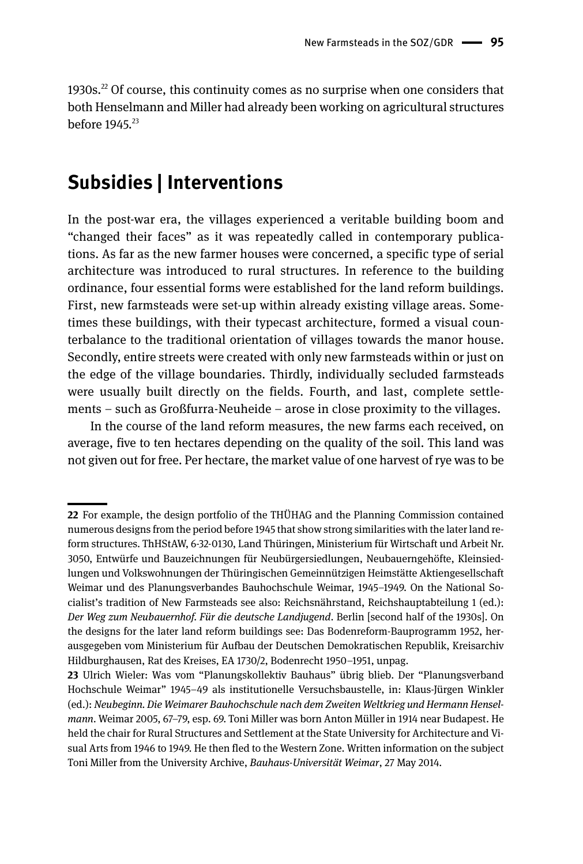1930s.<sup>22</sup> Of course, this continuity comes as no surprise when one considers that both Henselmann and Miller had already been working on agricultural structures before 1945.23

### **Subsidies | Interventions**

In the post-war era, the villages experienced a veritable building boom and "changed their faces" as it was repeatedly called in contemporary publications. As far as the new farmer houses were concerned, a specific type of serial architecture was introduced to rural structures. In reference to the building ordinance, four essential forms were established for the land reform buildings. First, new farmsteads were set-up within already existing village areas. Sometimes these buildings, with their typecast architecture, formed a visual counterbalance to the traditional orientation of villages towards the manor house. Secondly, entire streets were created with only new farmsteads within or just on the edge of the village boundaries. Thirdly, individually secluded farmsteads were usually built directly on the fields. Fourth, and last, complete settlements – such as Großfurra-Neuheide – arose in close proximity to the villages.

In the course of the land reform measures, the new farms each received, on average, five to ten hectares depending on the quality of the soil. This land was not given out for free. Per hectare, the market value of one harvest of rye was to be

**<sup>22</sup>** For example, the design portfolio of the THÜHAG and the Planning Commission contained numerous designs from the period before 1945 that show strong similarities with the later land reform structures. ThHStAW, 6-32-0130, Land Thüringen, Ministerium für Wirtschaft und Arbeit Nr. 3050, Entwürfe und Bauzeichnungen für Neubürgersiedlungen, Neubauerngehöfte, Kleinsiedlungen und Volkswohnungen der Thüringischen Gemeinnützigen Heimstätte Aktiengesellschaft Weimar und des Planungsverbandes Bauhochschule Weimar, 1945–1949. On the National Socialist's tradition of New Farmsteads see also: Reichsnährstand, Reichshauptabteilung 1 (ed.): *Der Weg zum Neubauernhof. Für die deutsche Landjugend*. Berlin [second half of the 1930s]. On the designs for the later land reform buildings see: Das Bodenreform-Bauprogramm 1952, herausgegeben vom Ministerium für Aufbau der Deutschen Demokratischen Republik, Kreisarchiv Hildburghausen, Rat des Kreises, EA 1730/2, Bodenrecht 1950–1951, unpag.

**<sup>23</sup>** Ulrich Wieler: Was vom "Planungskollektiv Bauhaus" übrig blieb. Der "Planungsverband Hochschule Weimar" 1945–49 als institutionelle Versuchsbaustelle, in: Klaus-Jürgen Winkler (ed.): *Neubeginn. Die Weimarer Bauhochschule nach dem Zweiten Weltkrieg und Hermann Henselmann*. Weimar 2005, 67–79, esp. 69. Toni Miller was born Anton Müller in 1914 near Budapest. He held the chair for Rural Structures and Settlement at the State University for Architecture and Visual Arts from 1946 to 1949. He then fled to the Western Zone. Written information on the subject Toni Miller from the University Archive, *Bauhaus-Universität Weimar*, 27 May 2014.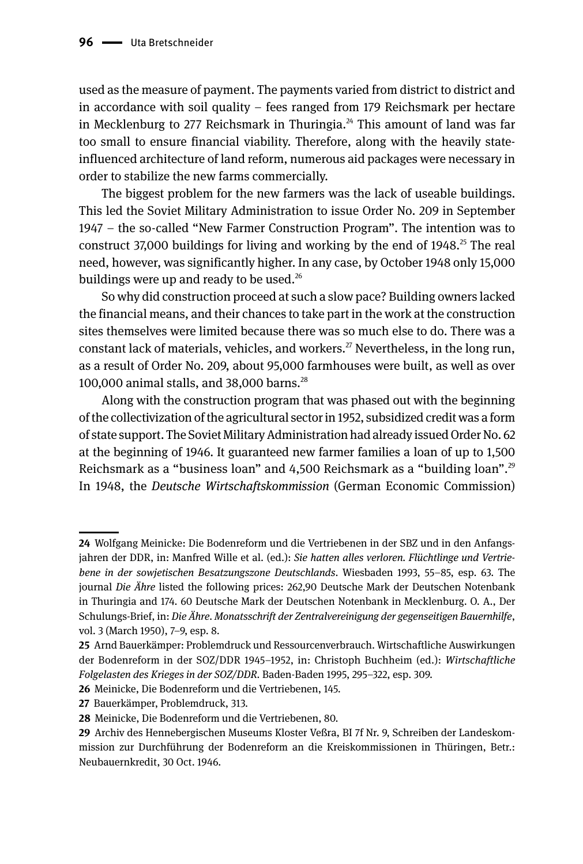used as the measure of payment. The payments varied from district to district and in accordance with soil quality – fees ranged from 179 Reichsmark per hectare in Mecklenburg to 277 Reichsmark in Thuringia. $^{24}$  This amount of land was far too small to ensure financial viability. Therefore, along with the heavily stateinfluenced architecture of land reform, numerous aid packages were necessary in order to stabilize the new farms commercially.

The biggest problem for the new farmers was the lack of useable buildings. This led the Soviet Military Administration to issue Order No. 209 in September 1947 – the so-called "New Farmer Construction Program". The intention was to construct 37,000 buildings for living and working by the end of  $1948.^2$ <sup>5</sup> The real need, however, was significantly higher. In any case, by October 1948 only 15,000 buildings were up and ready to be used.<sup>26</sup>

So why did construction proceed at such a slow pace? Building owners lacked the financial means, and their chances to take part in the work at the construction sites themselves were limited because there was so much else to do. There was a constant lack of materials, vehicles, and workers.27 Nevertheless, in the long run, as a result of Order No. 209, about 95,000 farmhouses were built, as well as over 100,000 animal stalls, and 38,000 barns. $^{28}$ 

Along with the construction program that was phased out with the beginning of the collectivization of the agricultural sector in 1952, subsidized credit was a form of state support. The Soviet Military Administration had already issued Order No. 62 at the beginning of 1946. It guaranteed new farmer families a loan of up to 1,500 Reichsmark as a "business loan" and 4,500 Reichsmark as a "building loan".<sup>29</sup> In 1948, the *Deutsche Wirtschaftskommission* (German Economic Commission)

**<sup>24</sup>** Wolfgang Meinicke: Die Bodenreform und die Vertriebenen in der SBZ und in den Anfangsjahren der DDR, in: Manfred Wille et al. (ed.): *Sie hatten alles verloren. Flüchtlinge und Vertriebene in der sowjetischen Besatzungszone Deutschlands*. Wiesbaden 1993, 55–85, esp. 63. The journal *Die Ähre* listed the following prices: 262,90 Deutsche Mark der Deutschen Notenbank in Thuringia and 174. 60 Deutsche Mark der Deutschen Notenbank in Mecklenburg. O. A., Der Schulungs‐Brief, in: *Die Ähre. Monatsschrift der Zentralvereinigung der gegenseitigen Bauernhilfe*, vol. 3 (March 1950), 7–9, esp. 8.

**<sup>25</sup>** Arnd Bauerkämper: Problemdruck und Ressourcenverbrauch. Wirtschaftliche Auswirkungen der Bodenreform in der SOZ/DDR 1945–1952, in: Christoph Buchheim (ed.): *Wirtschaftliche Folgelasten des Krieges in der SOZ/DDR.* Baden-Baden 1995, 295–322, esp. 309.

**<sup>26</sup>** Meinicke, Die Bodenreform und die Vertriebenen, 145.

**<sup>27</sup>** Bauerkämper, Problemdruck, 313.

**<sup>28</sup>** Meinicke, Die Bodenreform und die Vertriebenen, 80.

**<sup>29</sup>** Archiv des Hennebergischen Museums Kloster Veßra, BI 7f Nr. 9, Schreiben der Landeskommission zur Durchführung der Bodenreform an die Kreiskommissionen in Thüringen, Betr.: Neubauernkredit, 30 Oct. 1946.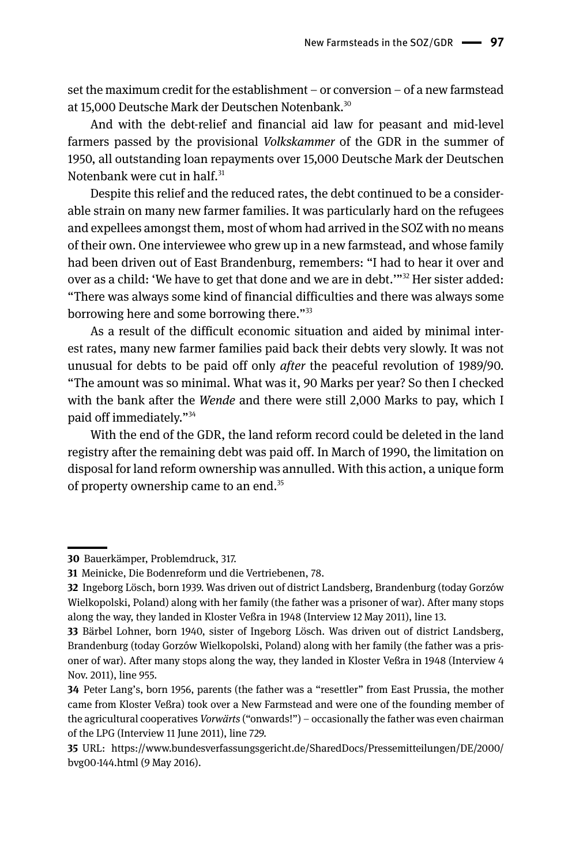set the maximum credit for the establishment – or conversion – of a new farmstead at 15,000 Deutsche Mark der Deutschen Notenbank.<sup>30</sup>

And with the debt-relief and financial aid law for peasant and mid-level farmers passed by the provisional *Volkskammer* of the GDR in the summer of 1950, all outstanding loan repayments over 15,000 Deutsche Mark der Deutschen Notenbank were cut in half. $31$ 

Despite this relief and the reduced rates, the debt continued to be a considerable strain on many new farmer families. It was particularly hard on the refugees and expellees amongst them, most of whom had arrived in the SOZ with no means of their own. One interviewee who grew up in a new farmstead, and whose family had been driven out of East Brandenburg, remembers: "I had to hear it over and over as a child: 'We have to get that done and we are in debt.'"<sup>32</sup> Her sister added: "There was always some kind of financial difficulties and there was always some borrowing here and some borrowing there."<sup>33</sup>

As a result of the difficult economic situation and aided by minimal interest rates, many new farmer families paid back their debts very slowly. It was not unusual for debts to be paid off only *after* the peaceful revolution of 1989/90. "The amount was so minimal. What was it, 90 Marks per year? So then I checked with the bank after the *Wende* and there were still 2,000 Marks to pay, which I paid off immediately."34

With the end of the GDR, the land reform record could be deleted in the land registry after the remaining debt was paid off. In March of 1990, the limitation on disposal for land reform ownership was annulled. With this action, a unique form of property ownership came to an end. $35$ 

**<sup>30</sup>** Bauerkämper, Problemdruck, 317.

**<sup>31</sup>** Meinicke, Die Bodenreform und die Vertriebenen, 78.

**<sup>32</sup>** Ingeborg Lösch, born 1939. Was driven out of district Landsberg, Brandenburg (today Gorzów Wielkopolski, Poland) along with her family (the father was a prisoner of war). After many stops along the way, they landed in Kloster Veßra in 1948 (Interview 12 May 2011), line 13.

**<sup>33</sup>** Bärbel Lohner, born 1940, sister of Ingeborg Lösch. Was driven out of district Landsberg, Brandenburg (today Gorzów Wielkopolski, Poland) along with her family (the father was a prisoner of war). After many stops along the way, they landed in Kloster Veßra in 1948 (Interview 4 Nov. 2011), line 955.

**<sup>34</sup>** Peter Lang's, born 1956, parents (the father was a "resettler" from East Prussia, the mother came from Kloster Veßra) took over a New Farmstead and were one of the founding member of the agricultural cooperatives *Vorwärts* ("onwards!") – occasionally the father was even chairman of the LPG (Interview 11 June 2011), line 729.

**<sup>35</sup>** URL: https://www.bundesverfassungsgericht.de/SharedDocs/Pressemitteilungen/DE/2000/ bvg00-144.html (9 May 2016).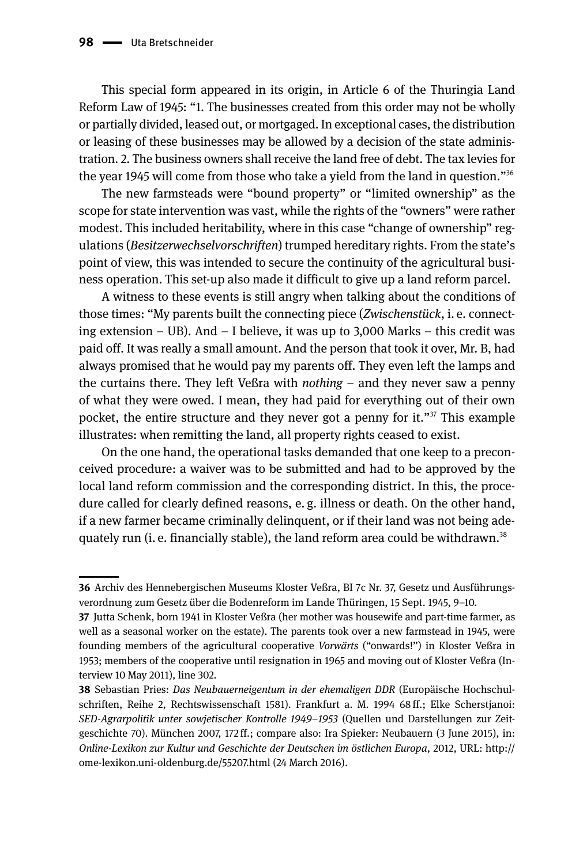This special form appeared in its origin, in Article 6 of the Thuringia Land Reform Law of 1945: "1. The businesses created from this order may not be wholly or partially divided, leased out, or mortgaged. In exceptional cases, the distribution or leasing of these businesses may be allowed by a decision of the state administration. 2. The business owners shall receive the land free of debt. The tax levies for the year 1945 will come from those who take a yield from the land in question."36

The new farmsteads were "bound property" or "limited ownership" as the scope for state intervention was vast, while the rights of the "owners" were rather modest. This included heritability, where in this case "change of ownership" regulations (*Besitzerwechselvorschriften*) trumped hereditary rights. From the state's point of view, this was intended to secure the continuity of the agricultural business operation. This set-up also made it difficult to give up a land reform parcel.

A witness to these events is still angry when talking about the conditions of those times: "My parents built the connecting piece (*Zwischenstück*, i. e. connecting extension – UB). And – I believe, it was up to 3,000 Marks – this credit was paid off. It was really a small amount. And the person that took it over, Mr. B, had always promised that he would pay my parents off. They even left the lamps and the curtains there. They left Veßra with *nothing* – and they never saw a penny of what they were owed. I mean, they had paid for everything out of their own pocket, the entire structure and they never got a penny for it." $37$  This example illustrates: when remitting the land, all property rights ceased to exist.

On the one hand, the operational tasks demanded that one keep to a preconceived procedure: a waiver was to be submitted and had to be approved by the local land reform commission and the corresponding district. In this, the procedure called for clearly defined reasons, e. g. illness or death. On the other hand, if a new farmer became criminally delinquent, or if their land was not being adequately run (i. e. financially stable), the land reform area could be withdrawn.<sup>38</sup>

**<sup>36</sup>** Archiv des Hennebergischen Museums Kloster Veßra, BI 7c Nr. 37, Gesetz und Ausführungsverordnung zum Gesetz über die Bodenreform im Lande Thüringen, 15 Sept. 1945, 9–10.

**<sup>37</sup>** Jutta Schenk, born 1941 in Kloster Veßra (her mother was housewife and part-time farmer, as well as a seasonal worker on the estate). The parents took over a new farmstead in 1945, were founding members of the agricultural cooperative *Vorwärts* ("onwards!") in Kloster Veßra in 1953; members of the cooperative until resignation in 1965 and moving out of Kloster Veßra (Interview 10 May 2011), line 302.

**<sup>38</sup>** Sebastian Pries: *Das Neubauerneigentum in der ehemaligen DDR* (Europäische Hochschulschriften, Reihe 2, Rechtswissenschaft 1581). Frankfurt a. M. 1994 68 ff.; Elke Scherstjanoi: *SED-Agrarpolitik unter sowjetischer Kontrolle 1949–1953* (Quellen und Darstellungen zur Zeitgeschichte 70). München 2007, 172 ff.; compare also: Ira Spieker: Neubauern (3 June 2015), in: *Online-Lexikon zur Kultur und Geschichte der Deutschen im östlichen Europa*, 2012, URL: http:// ome-lexikon.uni-oldenburg.de/55207.html (24 March 2016).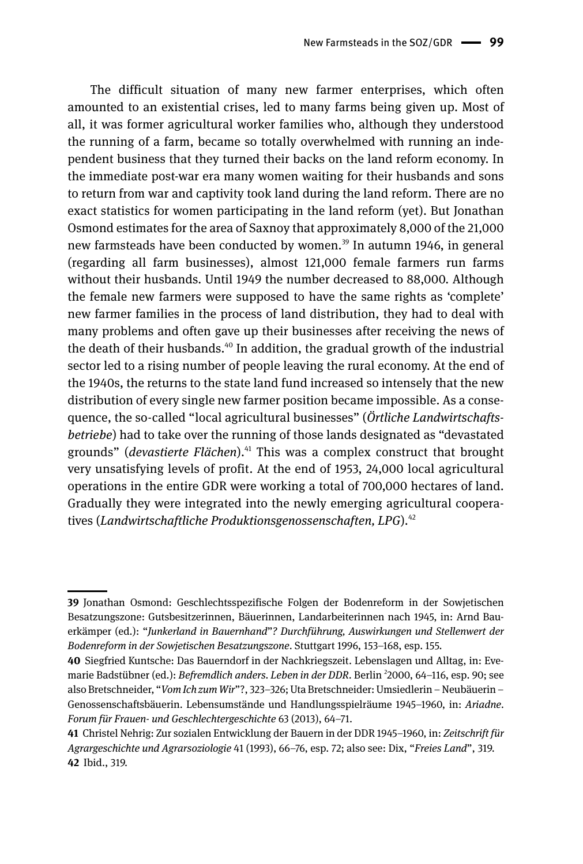The difficult situation of many new farmer enterprises, which often amounted to an existential crises, led to many farms being given up. Most of all, it was former agricultural worker families who, although they understood the running of a farm, became so totally overwhelmed with running an independent business that they turned their backs on the land reform economy. In the immediate post-war era many women waiting for their husbands and sons to return from war and captivity took land during the land reform. There are no exact statistics for women participating in the land reform (yet). But Jonathan Osmond estimates for the area of Saxnoy that approximately 8,000 of the 21,000 new farmsteads have been conducted by women.<sup>39</sup> In autumn 1946, in general (regarding all farm businesses), almost 121,000 female farmers run farms without their husbands. Until 1949 the number decreased to 88,000. Although the female new farmers were supposed to have the same rights as 'complete' new farmer families in the process of land distribution, they had to deal with many problems and often gave up their businesses after receiving the news of the death of their husbands.<sup>40</sup> In addition, the gradual growth of the industrial sector led to a rising number of people leaving the rural economy. At the end of the 1940s, the returns to the state land fund increased so intensely that the new distribution of every single new farmer position became impossible. As a consequence, the so-called "local agricultural businesses" (*Örtliche Landwirtschaftsbetriebe*) had to take over the running of those lands designated as "devastated grounds" (*devastierte Flächen*).41 This was a complex construct that brought very unsatisfying levels of profit. At the end of 1953, 24,000 local agricultural operations in the entire GDR were working a total of 700,000 hectares of land. Gradually they were integrated into the newly emerging agricultural cooperatives (*Landwirtschaftliche Produktionsgenossenschaften, LPG*).<sup>42</sup>

**<sup>39</sup>** Jonathan Osmond: Geschlechtsspezifische Folgen der Bodenreform in der Sowjetischen Besatzungszone: Gutsbesitzerinnen, Bäuerinnen, Landarbeiterinnen nach 1945, in: Arnd Bauerkämper (ed.): "*Junkerland in Bauernhand*"*? Durchführung, Auswirkungen und Stellenwert der Bodenreform in der Sowjetischen Besatzungszone*. Stuttgart 1996, 153–168, esp. 155.

**<sup>40</sup>** Siegfried Kuntsche: Das Bauerndorf in der Nachkriegszeit. Lebenslagen und Alltag, in: Evemarie Badstübner (ed.): *Befremdlich anders. Leben in der DDR*. Berlin 2 2000, 64–116, esp. 90; see also Bretschneider, "*Vom Ich zum Wir*"?, 323–326; Uta Bretschneider: Umsiedlerin – Neubäuerin – Genossenschaftsbäuerin. Lebensumstände und Handlungsspielräume 1945–1960, in: *Ariadne. Forum für Frauen- und Geschlechtergeschichte* 63 (2013), 64–71.

**<sup>41</sup>** Christel Nehrig: Zur sozialen Entwicklung der Bauern in der DDR 1945–1960, in: *Zeitschrift für Agrargeschichte und Agrarsoziologie* 41 (1993), 66–76, esp. 72; also see: Dix, "*Freies Land*", 319. **42** Ibid., 319.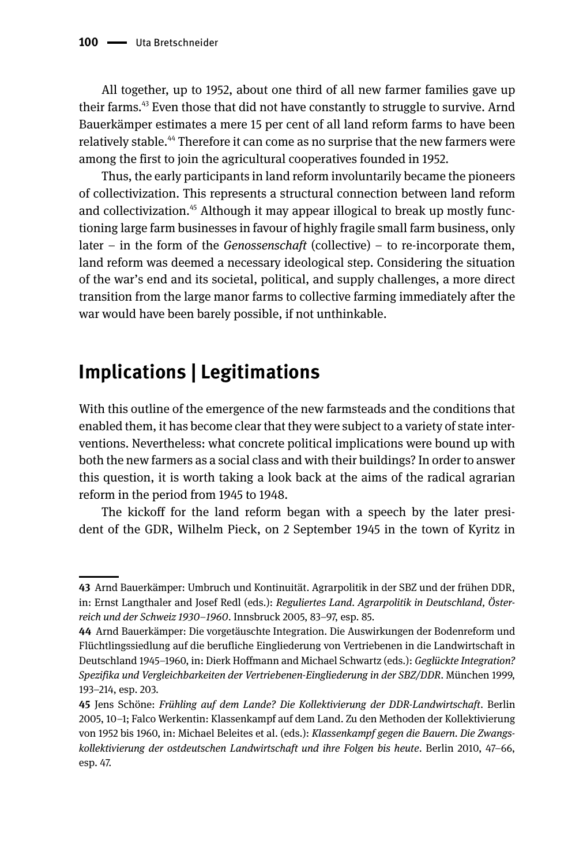All together, up to 1952, about one third of all new farmer families gave up their farms.<sup>43</sup> Even those that did not have constantly to struggle to survive. Arnd Bauerkämper estimates a mere 15 per cent of all land reform farms to have been relatively stable.44 Therefore it can come as no surprise that the new farmers were among the first to join the agricultural cooperatives founded in 1952.

Thus, the early participants in land reform involuntarily became the pioneers of collectivization. This represents a structural connection between land reform and collectivization.<sup>45</sup> Although it may appear illogical to break up mostly functioning large farm businesses in favour of highly fragile small farm business, only later – in the form of the *Genossenschaft* (collective) – to re-incorporate them, land reform was deemed a necessary ideological step. Considering the situation of the war's end and its societal, political, and supply challenges, a more direct transition from the large manor farms to collective farming immediately after the war would have been barely possible, if not unthinkable.

# **Implications | Legitimations**

With this outline of the emergence of the new farmsteads and the conditions that enabled them, it has become clear that they were subject to a variety of state interventions. Nevertheless: what concrete political implications were bound up with both the new farmers as a social class and with their buildings? In order to answer this question, it is worth taking a look back at the aims of the radical agrarian reform in the period from 1945 to 1948.

The kickoff for the land reform began with a speech by the later president of the GDR, Wilhelm Pieck, on 2 September 1945 in the town of Kyritz in

**<sup>43</sup>** Arnd Bauerkämper: Umbruch und Kontinuität. Agrarpolitik in der SBZ und der frühen DDR, in: Ernst Langthaler and Josef Redl (eds.): *Reguliertes Land. Agrarpolitik in Deutschland, Österreich und der Schweiz 1930–1960*. Innsbruck 2005, 83–97, esp. 85.

**<sup>44</sup>** Arnd Bauerkämper: Die vorgetäuschte Integration. Die Auswirkungen der Bodenreform und Flüchtlingssiedlung auf die berufliche Eingliederung von Vertriebenen in die Landwirtschaft in Deutschland 1945–1960, in: Dierk Hoffmann and Michael Schwartz (eds.): *Geglückte Integration? Spezifika und Vergleichbarkeiten der Vertriebenen-Eingliederung in der SBZ/DDR*. München 1999, 193–214, esp. 203.

**<sup>45</sup>** Jens Schöne: *Frühling auf dem Lande? Die Kollektivierung der DDR-Landwirtschaft*. Berlin 2005, 10–1; Falco Werkentin: Klassenkampf auf dem Land. Zu den Methoden der Kollektivierung von 1952 bis 1960, in: Michael Beleites et al. (eds.): *Klassenkampf gegen die Bauern. Die Zwangskollektivierung der ostdeutschen Landwirtschaft und ihre Folgen bis heute*. Berlin 2010, 47–66, esp. 47.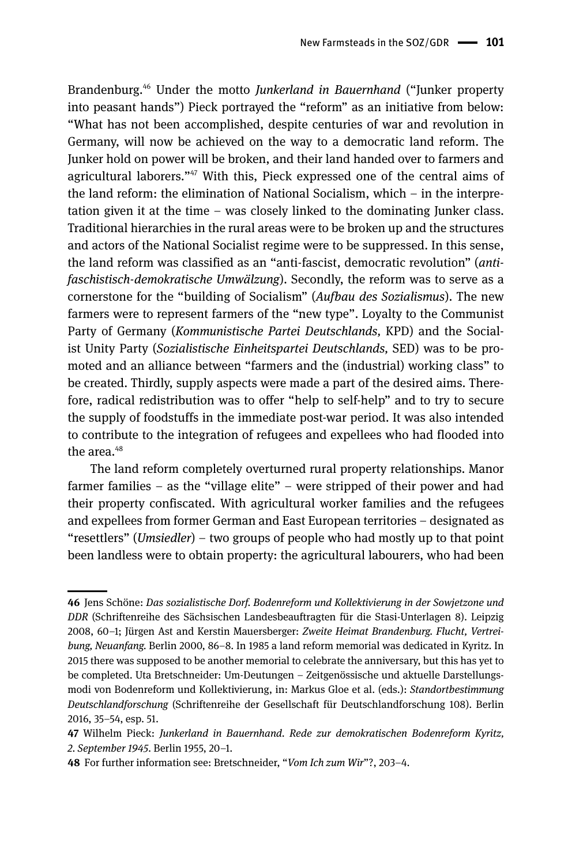Brandenburg.46 Under the motto *Junkerland in Bauernhand* ("Junker property into peasant hands") Pieck portrayed the "reform" as an initiative from below: "What has not been accomplished, despite centuries of war and revolution in Germany, will now be achieved on the way to a democratic land reform. The Junker hold on power will be broken, and their land handed over to farmers and agricultural laborers."<sup>47</sup> With this, Pieck expressed one of the central aims of the land reform: the elimination of National Socialism, which – in the interpretation given it at the time – was closely linked to the dominating Junker class. Traditional hierarchies in the rural areas were to be broken up and the structures and actors of the National Socialist regime were to be suppressed. In this sense, the land reform was classified as an "anti-fascist, democratic revolution" (*antifaschistisch-demokratische Umwälzung*). Secondly, the reform was to serve as a cornerstone for the "building of Socialism" (*Aufbau des Sozialismus*). The new farmers were to represent farmers of the "new type". Loyalty to the Communist Party of Germany (*Kommunistische Partei Deutschlands,* KPD) and the Socialist Unity Party (*Sozialistische Einheitspartei Deutschlands,* SED) was to be promoted and an alliance between "farmers and the (industrial) working class" to be created. Thirdly, supply aspects were made a part of the desired aims. Therefore, radical redistribution was to offer "help to self-help" and to try to secure the supply of foodstuffs in the immediate post-war period. It was also intended to contribute to the integration of refugees and expellees who had flooded into the area.<sup>48</sup>

The land reform completely overturned rural property relationships. Manor farmer families – as the "village elite" – were stripped of their power and had their property confiscated. With agricultural worker families and the refugees and expellees from former German and East European territories – designated as "resettlers" (*Umsiedler*) – two groups of people who had mostly up to that point been landless were to obtain property: the agricultural labourers, who had been

**<sup>46</sup>** Jens Schöne: *Das sozialistische Dorf. Bodenreform und Kollektivierung in der Sowjetzone und DDR* (Schriftenreihe des Sächsischen Landesbeauftragten für die Stasi-Unterlagen 8). Leipzig 2008, 60–1; Jürgen Ast and Kerstin Mauersberger: *Zweite Heimat Brandenburg. Flucht, Vertreibung, Neuanfang.* Berlin 2000, 86–8. In 1985 a land reform memorial was dedicated in Kyritz. In 2015 there was supposed to be another memorial to celebrate the anniversary, but this has yet to be completed. Uta Bretschneider: Um-Deutungen – Zeitgenössische und aktuelle Darstellungsmodi von Bodenreform und Kollektivierung, in: Markus Gloe et al. (eds.): *Standortbestimmung Deutschlandforschung* (Schriftenreihe der Gesellschaft für Deutschlandforschung 108). Berlin 2016, 35–54, esp. 51.

**<sup>47</sup>** Wilhelm Pieck: *Junkerland in Bauernhand. Rede zur demokratischen Bodenreform Kyritz, 2. September 1945*. Berlin 1955, 20–1.

**<sup>48</sup>** For further information see: Bretschneider, "*Vom Ich zum Wir*"?, 203–4.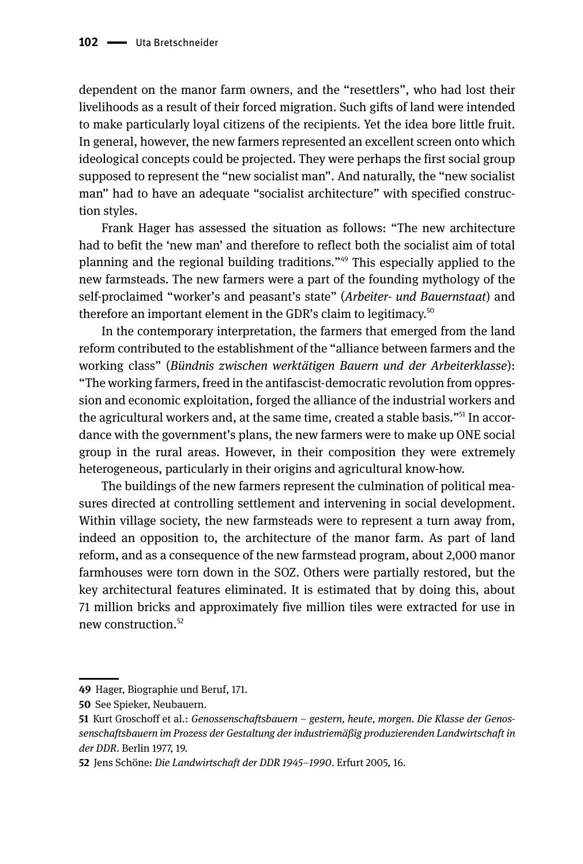dependent on the manor farm owners, and the "resettlers", who had lost their livelihoods as a result of their forced migration. Such gifts of land were intended to make particularly loyal citizens of the recipients. Yet the idea bore little fruit. In general, however, the new farmers represented an excellent screen onto which ideological concepts could be projected. They were perhaps the first social group supposed to represent the "new socialist man". And naturally, the "new socialist man" had to have an adequate "socialist architecture" with specified construction styles.

Frank Hager has assessed the situation as follows: "The new architecture had to befit the 'new man' and therefore to reflect both the socialist aim of total planning and the regional building traditions."49 This especially applied to the new farmsteads. The new farmers were a part of the founding mythology of the self-proclaimed "worker's and peasant's state" (*Arbeiter- und Bauernstaat*) and therefore an important element in the GDR's claim to legitimacy.<sup>50</sup>

In the contemporary interpretation, the farmers that emerged from the land reform contributed to the establishment of the "alliance between farmers and the working class" (*Bündnis zwischen werktätigen Bauern und der Arbeiterklasse*): "The working farmers, freed in the antifascist-democratic revolution from oppression and economic exploitation, forged the alliance of the industrial workers and the agricultural workers and, at the same time, created a stable basis."<sup>51</sup> In accordance with the government's plans, the new farmers were to make up ONE social group in the rural areas. However, in their composition they were extremely heterogeneous, particularly in their origins and agricultural know-how.

The buildings of the new farmers represent the culmination of political measures directed at controlling settlement and intervening in social development. Within village society, the new farmsteads were to represent a turn away from, indeed an opposition to, the architecture of the manor farm. As part of land reform, and as a consequence of the new farmstead program, about 2,000 manor farmhouses were torn down in the SOZ. Others were partially restored, but the key architectural features eliminated. It is estimated that by doing this, about 71 million bricks and approximately five million tiles were extracted for use in new construction.52

**<sup>49</sup>** Hager, Biographie und Beruf, 171.

**<sup>50</sup>** See Spieker, Neubauern.

**<sup>51</sup>** Kurt Groschoff et al.: *Genossenschaftsbauern – gestern, heute, morgen. Die Klasse der Genossenschaftsbauern im Prozess der Gestaltung der industriemäßig produzierenden Landwirtschaft in der DDR*. Berlin 1977, 19.

**<sup>52</sup>** Jens Schöne: *Die Landwirtschaft der DDR 1945–1990*. Erfurt 2005, 16.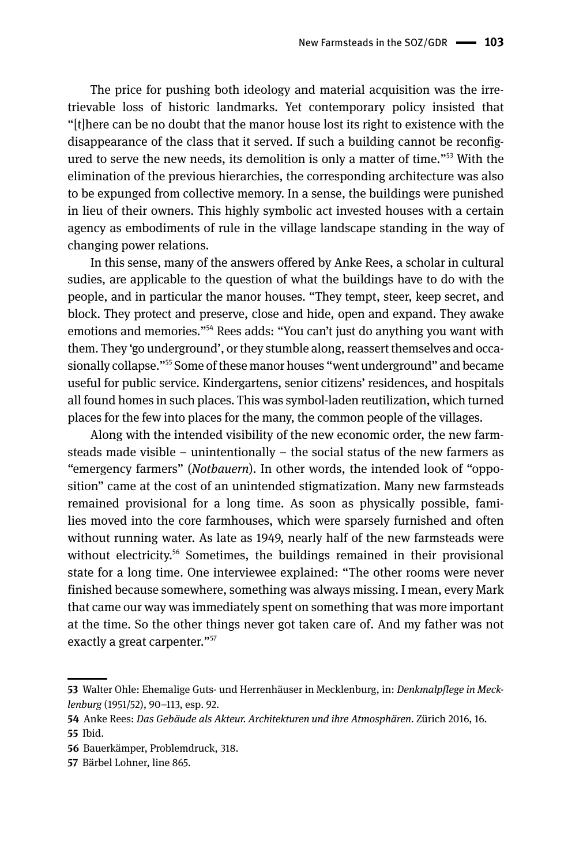The price for pushing both ideology and material acquisition was the irretrievable loss of historic landmarks. Yet contemporary policy insisted that "[t]here can be no doubt that the manor house lost its right to existence with the disappearance of the class that it served. If such a building cannot be reconfigured to serve the new needs, its demolition is only a matter of time."<sup>53</sup> With the elimination of the previous hierarchies, the corresponding architecture was also to be expunged from collective memory. In a sense, the buildings were punished in lieu of their owners. This highly symbolic act invested houses with a certain agency as embodiments of rule in the village landscape standing in the way of changing power relations.

In this sense, many of the answers offered by Anke Rees, a scholar in cultural sudies, are applicable to the question of what the buildings have to do with the people, and in particular the manor houses. "They tempt, steer, keep secret, and block. They protect and preserve, close and hide, open and expand. They awake emotions and memories."54 Rees adds: "You can't just do anything you want with them. They 'go underground', or they stumble along, reassert themselves and occasionally collapse."55 Some of these manor houses "went underground" and became useful for public service. Kindergartens, senior citizens' residences, and hospitals all found homes in such places. This was symbol-laden reutilization, which turned places for the few into places for the many, the common people of the villages.

Along with the intended visibility of the new economic order, the new farmsteads made visible – unintentionally – the social status of the new farmers as "emergency farmers" (*Notbauern*). In other words, the intended look of "opposition" came at the cost of an unintended stigmatization. Many new farmsteads remained provisional for a long time. As soon as physically possible, families moved into the core farmhouses, which were sparsely furnished and often without running water. As late as 1949, nearly half of the new farmsteads were without electricity.<sup>56</sup> Sometimes, the buildings remained in their provisional state for a long time. One interviewee explained: "The other rooms were never finished because somewhere, something was always missing. I mean, every Mark that came our way was immediately spent on something that was more important at the time. So the other things never got taken care of. And my father was not exactly a great carpenter."<sup>57</sup>

**<sup>53</sup>** Walter Ohle: Ehemalige Guts- und Herrenhäuser in Mecklenburg, in: *Denkmalpflege in Mecklenburg* (1951/52), 90–113, esp. 92.

**<sup>54</sup>** Anke Rees: *Das Gebäude als Akteur. Architekturen und ihre Atmosphären*. Zürich 2016, 16. **55** Ibid.

**<sup>56</sup>** Bauerkämper, Problemdruck, 318.

**<sup>57</sup>** Bärbel Lohner, line 865.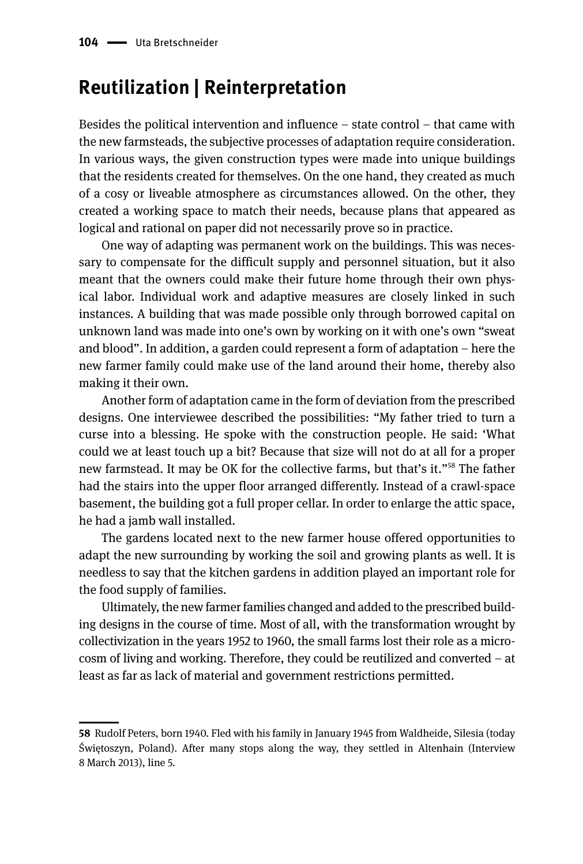## **Reutilization | Reinterpretation**

Besides the political intervention and influence – state control – that came with the new farmsteads, the subjective processes of adaptation require consideration. In various ways, the given construction types were made into unique buildings that the residents created for themselves. On the one hand, they created as much of a cosy or liveable atmosphere as circumstances allowed. On the other, they created a working space to match their needs, because plans that appeared as logical and rational on paper did not necessarily prove so in practice.

One way of adapting was permanent work on the buildings. This was necessary to compensate for the difficult supply and personnel situation, but it also meant that the owners could make their future home through their own physical labor. Individual work and adaptive measures are closely linked in such instances. A building that was made possible only through borrowed capital on unknown land was made into one's own by working on it with one's own "sweat and blood". In addition, a garden could represent a form of adaptation – here the new farmer family could make use of the land around their home, thereby also making it their own.

Another form of adaptation came in the form of deviation from the prescribed designs. One interviewee described the possibilities: "My father tried to turn a curse into a blessing. He spoke with the construction people. He said: 'What could we at least touch up a bit? Because that size will not do at all for a proper new farmstead. It may be OK for the collective farms, but that's it."58 The father had the stairs into the upper floor arranged differently. Instead of a crawl-space basement, the building got a full proper cellar. In order to enlarge the attic space, he had a jamb wall installed.

The gardens located next to the new farmer house offered opportunities to adapt the new surrounding by working the soil and growing plants as well. It is needless to say that the kitchen gardens in addition played an important role for the food supply of families.

Ultimately, the new farmer families changed and added to the prescribed building designs in the course of time. Most of all, with the transformation wrought by collectivization in the years 1952 to 1960, the small farms lost their role as a microcosm of living and working. Therefore, they could be reutilized and converted – at least as far as lack of material and government restrictions permitted.

**<sup>58</sup>** Rudolf Peters, born 1940. Fled with his family in January 1945 from Waldheide, Silesia (today Świętoszyn, Poland). After many stops along the way, they settled in Altenhain (Interview 8 March 2013), line 5.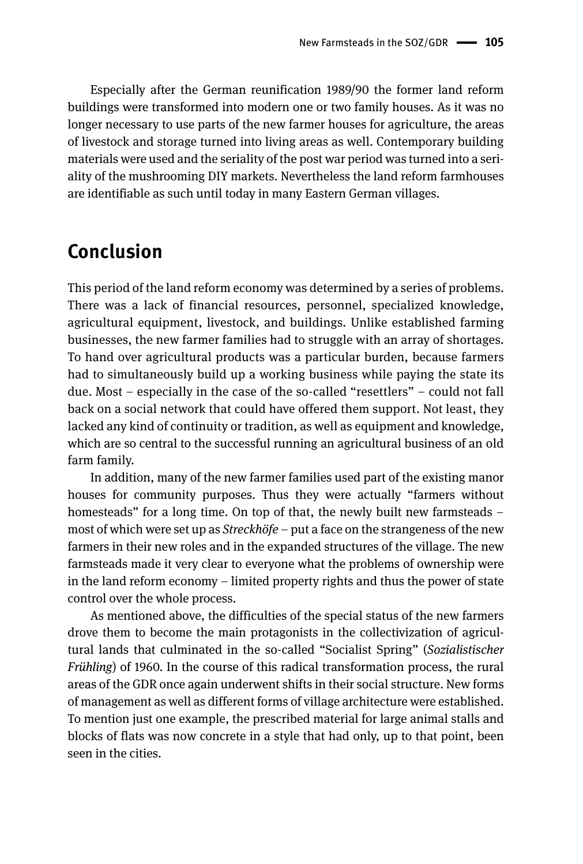Especially after the German reunification 1989/90 the former land reform buildings were transformed into modern one or two family houses. As it was no longer necessary to use parts of the new farmer houses for agriculture, the areas of livestock and storage turned into living areas as well. Contemporary building materials were used and the seriality of the post war period was turned into a seriality of the mushrooming DIY markets. Nevertheless the land reform farmhouses are identifiable as such until today in many Eastern German villages.

## **Conclusion**

This period of the land reform economy was determined by a series of problems. There was a lack of financial resources, personnel, specialized knowledge, agricultural equipment, livestock, and buildings. Unlike established farming businesses, the new farmer families had to struggle with an array of shortages. To hand over agricultural products was a particular burden, because farmers had to simultaneously build up a working business while paying the state its due. Most – especially in the case of the so-called "resettlers" – could not fall back on a social network that could have offered them support. Not least, they lacked any kind of continuity or tradition, as well as equipment and knowledge, which are so central to the successful running an agricultural business of an old farm family.

In addition, many of the new farmer families used part of the existing manor houses for community purposes. Thus they were actually "farmers without homesteads" for a long time. On top of that, the newly built new farmsteads – most of which were set up as *Streckhöfe* – put a face on the strangeness of the new farmers in their new roles and in the expanded structures of the village. The new farmsteads made it very clear to everyone what the problems of ownership were in the land reform economy – limited property rights and thus the power of state control over the whole process.

As mentioned above, the difficulties of the special status of the new farmers drove them to become the main protagonists in the collectivization of agricultural lands that culminated in the so-called "Socialist Spring" (*Sozialistischer Frühling*) of 1960. In the course of this radical transformation process, the rural areas of the GDR once again underwent shifts in their social structure. New forms of management as well as different forms of village architecture were established. To mention just one example, the prescribed material for large animal stalls and blocks of flats was now concrete in a style that had only, up to that point, been seen in the cities.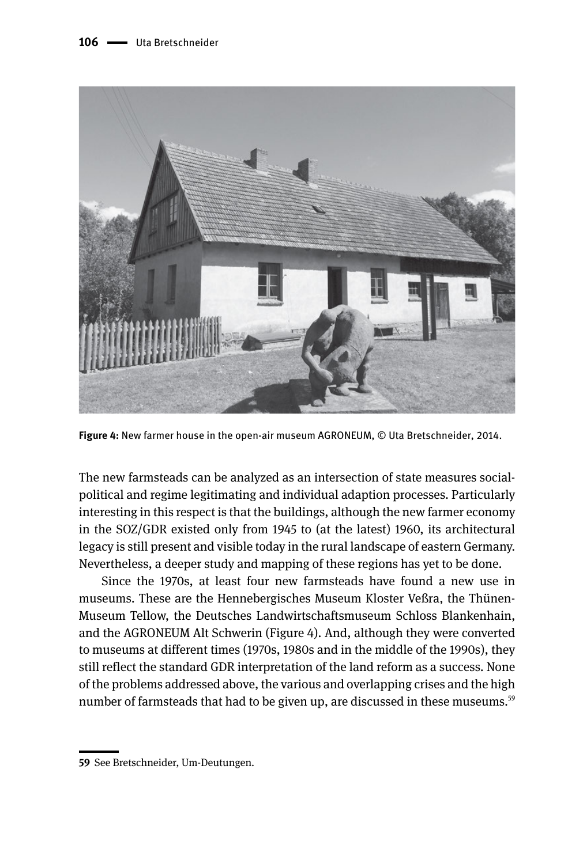

**Figure 4:** New farmer house in the open-air museum AGRONEUM, © Uta Bretschneider, 2014.

The new farmsteads can be analyzed as an intersection of state measures socialpolitical and regime legitimating and individual adaption processes. Particularly interesting in this respect is that the buildings, although the new farmer economy in the SOZ/GDR existed only from 1945 to (at the latest) 1960, its architectural legacy is still present and visible today in the rural landscape of eastern Germany. Nevertheless, a deeper study and mapping of these regions has yet to be done.

Since the 1970s, at least four new farmsteads have found a new use in museums. These are the Hennebergisches Museum Kloster Veßra, the Thünen-Museum Tellow, the Deutsches Landwirtschaftsmuseum Schloss Blankenhain, and the AGRONEUM Alt Schwerin (Figure 4). And, although they were converted to museums at different times (1970s, 1980s and in the middle of the 1990s), they still reflect the standard GDR interpretation of the land reform as a success. None of the problems addressed above, the various and overlapping crises and the high number of farmsteads that had to be given up, are discussed in these museums.<sup>59</sup>

**<sup>59</sup>** See Bretschneider, Um-Deutungen.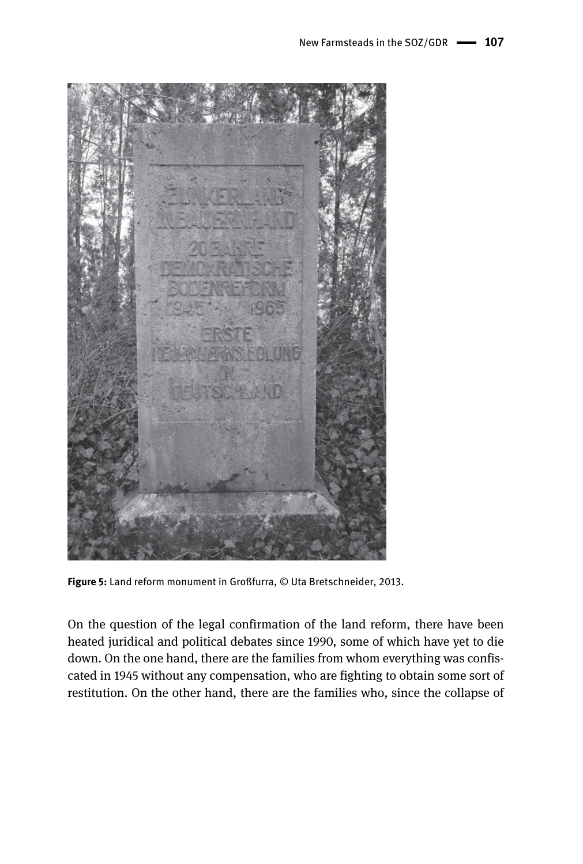

**Figure 5:** Land reform monument in Großfurra, © Uta Bretschneider, 2013.

On the question of the legal confirmation of the land reform, there have been heated juridical and political debates since 1990, some of which have yet to die down. On the one hand, there are the families from whom everything was confiscated in 1945 without any compensation, who are fighting to obtain some sort of restitution. On the other hand, there are the families who, since the collapse of